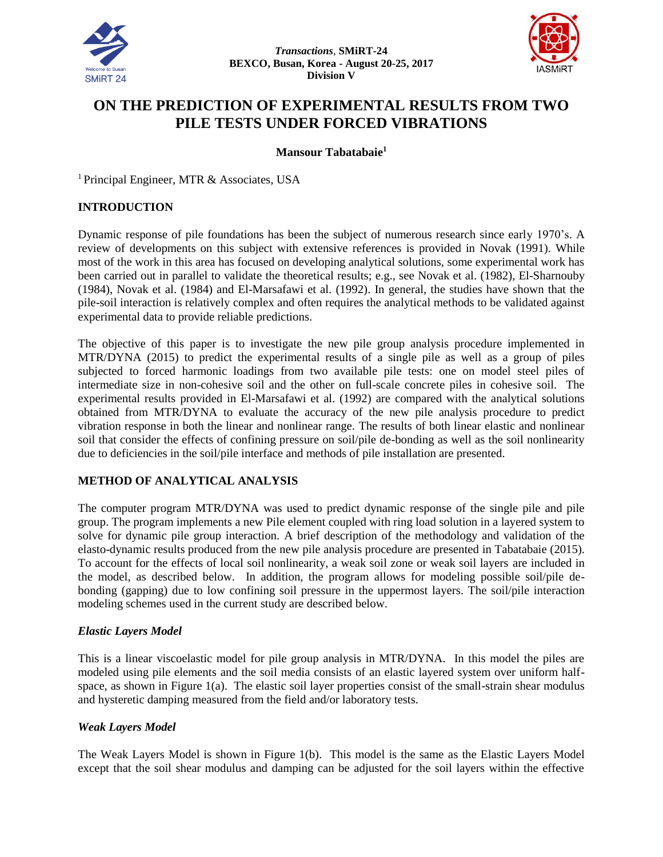



# **ON THE PREDICTION OF EXPERIMENTAL RESULTS FROM TWO PILE TESTS UNDER FORCED VIBRATIONS**

**Mansour Tabatabaie<sup>1</sup>**

<sup>1</sup> Principal Engineer, MTR & Associates, USA

# **INTRODUCTION**

Dynamic response of pile foundations has been the subject of numerous research since early 1970's. A review of developments on this subject with extensive references is provided in Novak (1991). While most of the work in this area has focused on developing analytical solutions, some experimental work has been carried out in parallel to validate the theoretical results; e.g., see Novak et al. (1982), El-Sharnouby (1984), Novak et al. (1984) and El-Marsafawi et al. (1992). In general, the studies have shown that the pile-soil interaction is relatively complex and often requires the analytical methods to be validated against experimental data to provide reliable predictions.

The objective of this paper is to investigate the new pile group analysis procedure implemented in MTR/DYNA (2015) to predict the experimental results of a single pile as well as a group of piles subjected to forced harmonic loadings from two available pile tests: one on model steel piles of intermediate size in non-cohesive soil and the other on full-scale concrete piles in cohesive soil. The experimental results provided in El-Marsafawi et al. (1992) are compared with the analytical solutions obtained from MTR/DYNA to evaluate the accuracy of the new pile analysis procedure to predict vibration response in both the linear and nonlinear range. The results of both linear elastic and nonlinear soil that consider the effects of confining pressure on soil/pile de-bonding as well as the soil nonlinearity due to deficiencies in the soil/pile interface and methods of pile installation are presented.

# **METHOD OF ANALYTICAL ANALYSIS**

The computer program MTR/DYNA was used to predict dynamic response of the single pile and pile group. The program implements a new Pile element coupled with ring load solution in a layered system to solve for dynamic pile group interaction. A brief description of the methodology and validation of the elasto-dynamic results produced from the new pile analysis procedure are presented in Tabatabaie (2015). To account for the effects of local soil nonlinearity, a weak soil zone or weak soil layers are included in the model, as described below. In addition, the program allows for modeling possible soil/pile debonding (gapping) due to low confining soil pressure in the uppermost layers. The soil/pile interaction modeling schemes used in the current study are described below.

# *Elastic Layers Model*

This is a linear viscoelastic model for pile group analysis in MTR/DYNA. In this model the piles are modeled using pile elements and the soil media consists of an elastic layered system over uniform halfspace, as shown in Figure 1(a). The elastic soil layer properties consist of the small-strain shear modulus and hysteretic damping measured from the field and/or laboratory tests.

# *Weak Layers Model*

The Weak Layers Model is shown in Figure 1(b). This model is the same as the Elastic Layers Model except that the soil shear modulus and damping can be adjusted for the soil layers within the effective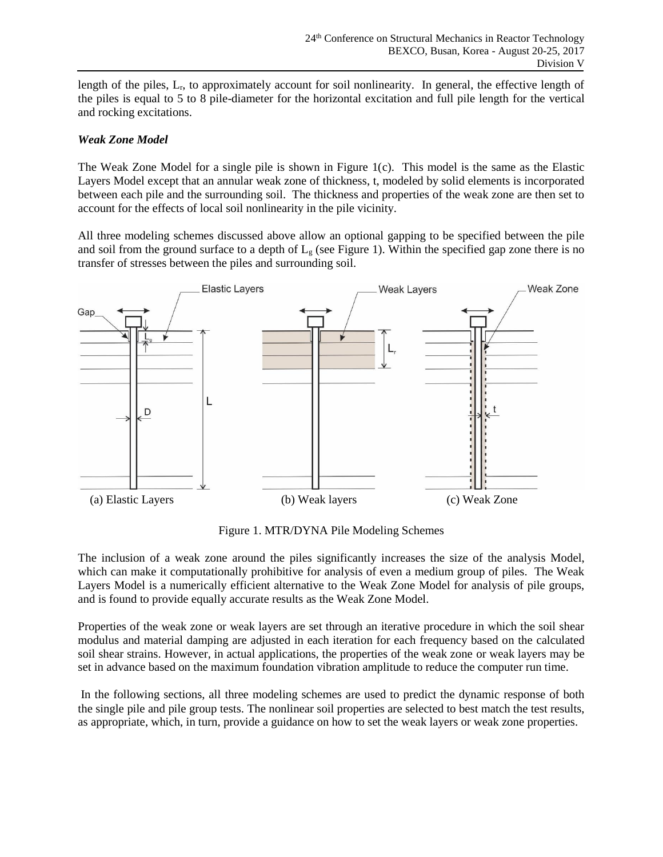length of the piles, Lr, to approximately account for soil nonlinearity. In general, the effective length of the piles is equal to 5 to 8 pile-diameter for the horizontal excitation and full pile length for the vertical and rocking excitations.

# *Weak Zone Model*

The Weak Zone Model for a single pile is shown in Figure 1(c). This model is the same as the Elastic Layers Model except that an annular weak zone of thickness, t, modeled by solid elements is incorporated between each pile and the surrounding soil. The thickness and properties of the weak zone are then set to account for the effects of local soil nonlinearity in the pile vicinity.

All three modeling schemes discussed above allow an optional gapping to be specified between the pile and soil from the ground surface to a depth of  $L<sub>g</sub>$  (see Figure 1). Within the specified gap zone there is no transfer of stresses between the piles and surrounding soil.



Figure 1. MTR/DYNA Pile Modeling Schemes

The inclusion of a weak zone around the piles significantly increases the size of the analysis Model, which can make it computationally prohibitive for analysis of even a medium group of piles. The Weak Layers Model is a numerically efficient alternative to the Weak Zone Model for analysis of pile groups, and is found to provide equally accurate results as the Weak Zone Model.

Properties of the weak zone or weak layers are set through an iterative procedure in which the soil shear modulus and material damping are adjusted in each iteration for each frequency based on the calculated soil shear strains. However, in actual applications, the properties of the weak zone or weak layers may be set in advance based on the maximum foundation vibration amplitude to reduce the computer run time.

In the following sections, all three modeling schemes are used to predict the dynamic response of both the single pile and pile group tests. The nonlinear soil properties are selected to best match the test results, as appropriate, which, in turn, provide a guidance on how to set the weak layers or weak zone properties.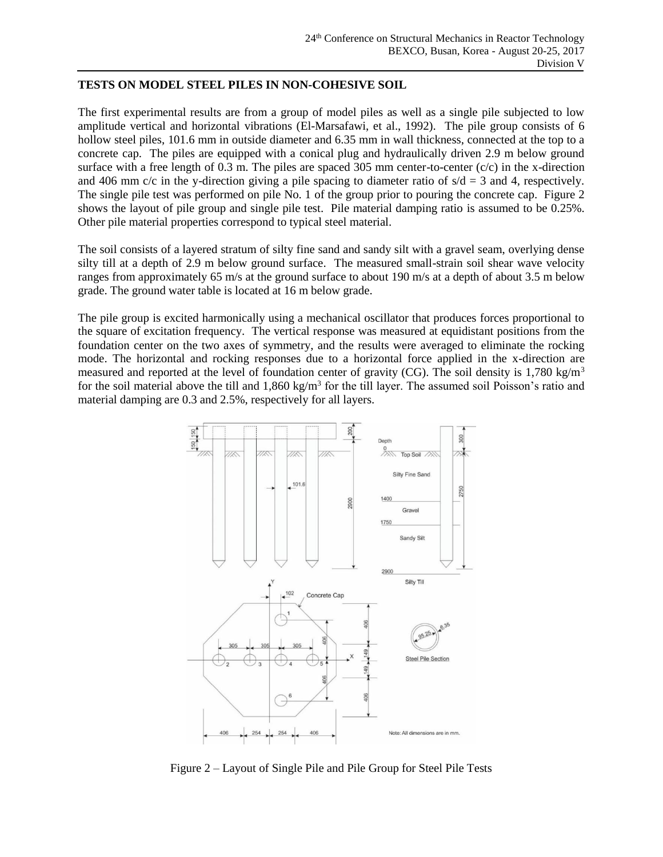#### **TESTS ON MODEL STEEL PILES IN NON-COHESIVE SOIL**

The first experimental results are from a group of model piles as well as a single pile subjected to low amplitude vertical and horizontal vibrations (El-Marsafawi, et al., 1992). The pile group consists of 6 hollow steel piles, 101.6 mm in outside diameter and 6.35 mm in wall thickness, connected at the top to a concrete cap. The piles are equipped with a conical plug and hydraulically driven 2.9 m below ground surface with a free length of  $0.3$  m. The piles are spaced 305 mm center-to-center (c/c) in the x-direction and 406 mm  $c/c$  in the y-direction giving a pile spacing to diameter ratio of  $s/d = 3$  and 4, respectively. The single pile test was performed on pile No. 1 of the group prior to pouring the concrete cap. Figure 2 shows the layout of pile group and single pile test. Pile material damping ratio is assumed to be 0.25%. Other pile material properties correspond to typical steel material.

The soil consists of a layered stratum of silty fine sand and sandy silt with a gravel seam, overlying dense silty till at a depth of 2.9 m below ground surface. The measured small-strain soil shear wave velocity ranges from approximately 65 m/s at the ground surface to about 190 m/s at a depth of about 3.5 m below grade. The ground water table is located at 16 m below grade.

The pile group is excited harmonically using a mechanical oscillator that produces forces proportional to the square of excitation frequency. The vertical response was measured at equidistant positions from the foundation center on the two axes of symmetry, and the results were averaged to eliminate the rocking mode. The horizontal and rocking responses due to a horizontal force applied in the x-direction are measured and reported at the level of foundation center of gravity (CG). The soil density is 1,780 kg/m<sup>3</sup> for the soil material above the till and 1,860 kg/m<sup>3</sup> for the till layer. The assumed soil Poisson's ratio and material damping are 0.3 and 2.5%, respectively for all layers.



Figure 2 – Layout of Single Pile and Pile Group for Steel Pile Tests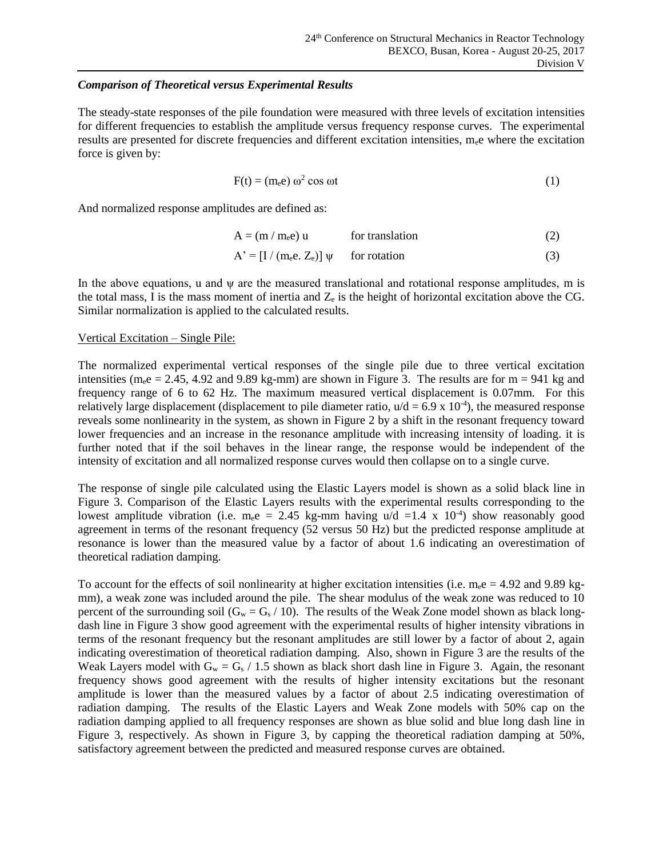# *Comparison of Theoretical versus Experimental Results*

The steady-state responses of the pile foundation were measured with three levels of excitation intensities for different frequencies to establish the amplitude versus frequency response curves. The experimental results are presented for discrete frequencies and different excitation intensities, mee where the excitation force is given by:

$$
F(t) = (m_e e) \omega^2 \cos \omega t \tag{1}
$$

And normalized response amplitudes are defined as:

$$
A = (m / m_e e) u \qquad \text{for translation} \tag{2}
$$

$$
A' = [I / (m_e e, Z_e)] \psi \quad \text{for rotation}
$$
 (3)

In the above equations, u and  $\psi$  are the measured translational and rotational response amplitudes, m is the total mass, I is the mass moment of inertia and  $Z_e$  is the height of horizontal excitation above the CG. Similar normalization is applied to the calculated results.

#### Vertical Excitation – Single Pile:

The normalized experimental vertical responses of the single pile due to three vertical excitation intensities (m<sub>e</sub>e = 2.45, 4.92 and 9.89 kg-mm) are shown in Figure 3. The results are for m = 941 kg and frequency range of 6 to 62 Hz. The maximum measured vertical displacement is 0.07mm. For this relatively large displacement (displacement to pile diameter ratio,  $u/d = 6.9 \times 10^{-4}$ ), the measured response reveals some nonlinearity in the system, as shown in Figure 2 by a shift in the resonant frequency toward lower frequencies and an increase in the resonance amplitude with increasing intensity of loading. it is further noted that if the soil behaves in the linear range, the response would be independent of the intensity of excitation and all normalized response curves would then collapse on to a single curve.

The response of single pile calculated using the Elastic Layers model is shown as a solid black line in Figure 3. Comparison of the Elastic Layers results with the experimental results corresponding to the lowest amplitude vibration (i.e.  $m_e e = 2.45$  kg-mm having  $u/d = 1.4$  x  $10^{-4}$ ) show reasonably good agreement in terms of the resonant frequency (52 versus 50 Hz) but the predicted response amplitude at resonance is lower than the measured value by a factor of about 1.6 indicating an overestimation of theoretical radiation damping.

To account for the effects of soil nonlinearity at higher excitation intensities (i.e.  $m_e e = 4.92$  and 9.89 kgmm), a weak zone was included around the pile. The shear modulus of the weak zone was reduced to 10 percent of the surrounding soil ( $G_w = G_s / 10$ ). The results of the Weak Zone model shown as black longdash line in Figure 3 show good agreement with the experimental results of higher intensity vibrations in terms of the resonant frequency but the resonant amplitudes are still lower by a factor of about 2, again indicating overestimation of theoretical radiation damping. Also, shown in Figure 3 are the results of the Weak Layers model with  $G_w = G_s / 1.5$  shown as black short dash line in Figure 3. Again, the resonant frequency shows good agreement with the results of higher intensity excitations but the resonant amplitude is lower than the measured values by a factor of about 2.5 indicating overestimation of radiation damping. The results of the Elastic Layers and Weak Zone models with 50% cap on the radiation damping applied to all frequency responses are shown as blue solid and blue long dash line in Figure 3, respectively. As shown in Figure 3, by capping the theoretical radiation damping at 50%, satisfactory agreement between the predicted and measured response curves are obtained.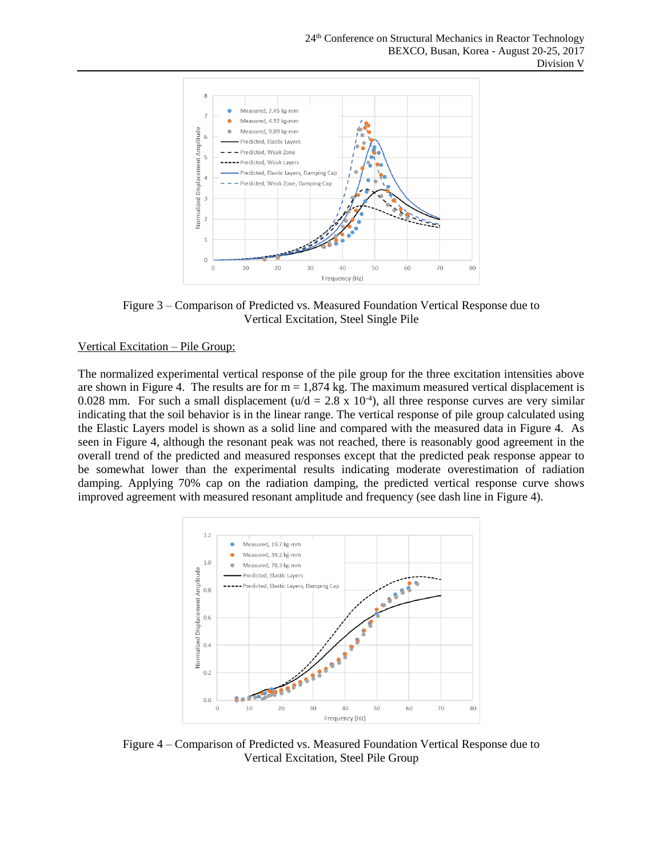

Figure 3 – Comparison of Predicted vs. Measured Foundation Vertical Response due to Vertical Excitation, Steel Single Pile

# Vertical Excitation – Pile Group:

The normalized experimental vertical response of the pile group for the three excitation intensities above are shown in Figure 4. The results are for  $m = 1,874$  kg. The maximum measured vertical displacement is 0.028 mm. For such a small displacement ( $u/d = 2.8 \times 10^{-4}$ ), all three response curves are very similar indicating that the soil behavior is in the linear range. The vertical response of pile group calculated using the Elastic Layers model is shown as a solid line and compared with the measured data in Figure 4. As seen in Figure 4, although the resonant peak was not reached, there is reasonably good agreement in the overall trend of the predicted and measured responses except that the predicted peak response appear to be somewhat lower than the experimental results indicating moderate overestimation of radiation damping. Applying 70% cap on the radiation damping, the predicted vertical response curve shows improved agreement with measured resonant amplitude and frequency (see dash line in Figure 4).



Figure 4 – Comparison of Predicted vs. Measured Foundation Vertical Response due to Vertical Excitation, Steel Pile Group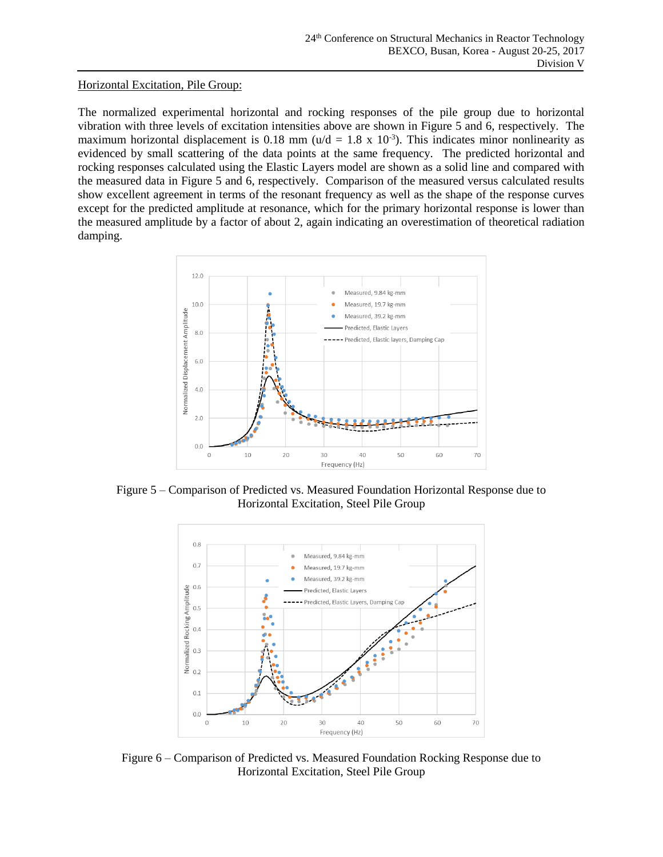#### Horizontal Excitation, Pile Group:

The normalized experimental horizontal and rocking responses of the pile group due to horizontal vibration with three levels of excitation intensities above are shown in Figure 5 and 6, respectively. The maximum horizontal displacement is 0.18 mm ( $u/d = 1.8 \times 10^{-3}$ ). This indicates minor nonlinearity as evidenced by small scattering of the data points at the same frequency. The predicted horizontal and rocking responses calculated using the Elastic Layers model are shown as a solid line and compared with the measured data in Figure 5 and 6, respectively. Comparison of the measured versus calculated results show excellent agreement in terms of the resonant frequency as well as the shape of the response curves except for the predicted amplitude at resonance, which for the primary horizontal response is lower than the measured amplitude by a factor of about 2, again indicating an overestimation of theoretical radiation damping.



Figure 5 – Comparison of Predicted vs. Measured Foundation Horizontal Response due to Horizontal Excitation, Steel Pile Group



Figure 6 – Comparison of Predicted vs. Measured Foundation Rocking Response due to Horizontal Excitation, Steel Pile Group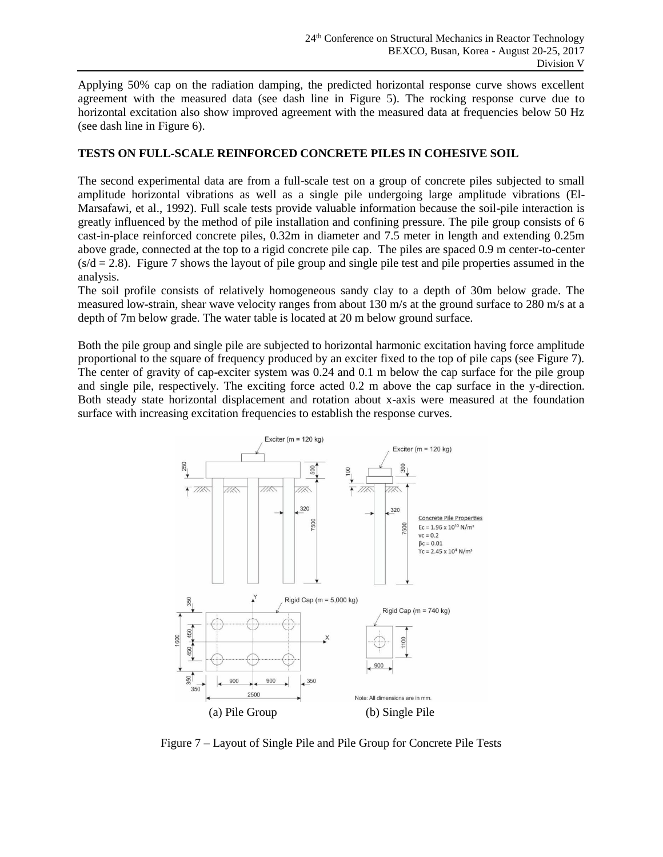Applying 50% cap on the radiation damping, the predicted horizontal response curve shows excellent agreement with the measured data (see dash line in Figure 5). The rocking response curve due to horizontal excitation also show improved agreement with the measured data at frequencies below 50 Hz (see dash line in Figure 6).

# **TESTS ON FULL-SCALE REINFORCED CONCRETE PILES IN COHESIVE SOIL**

The second experimental data are from a full-scale test on a group of concrete piles subjected to small amplitude horizontal vibrations as well as a single pile undergoing large amplitude vibrations (El-Marsafawi, et al., 1992). Full scale tests provide valuable information because the soil-pile interaction is greatly influenced by the method of pile installation and confining pressure. The pile group consists of 6 cast-in-place reinforced concrete piles, 0.32m in diameter and 7.5 meter in length and extending 0.25m above grade, connected at the top to a rigid concrete pile cap. The piles are spaced 0.9 m center-to-center  $(s/d = 2.8)$ . Figure 7 shows the layout of pile group and single pile test and pile properties assumed in the analysis.

The soil profile consists of relatively homogeneous sandy clay to a depth of 30m below grade. The measured low-strain, shear wave velocity ranges from about 130 m/s at the ground surface to 280 m/s at a depth of 7m below grade. The water table is located at 20 m below ground surface.

Both the pile group and single pile are subjected to horizontal harmonic excitation having force amplitude proportional to the square of frequency produced by an exciter fixed to the top of pile caps (see Figure 7). The center of gravity of cap-exciter system was 0.24 and 0.1 m below the cap surface for the pile group and single pile, respectively. The exciting force acted 0.2 m above the cap surface in the y-direction. Both steady state horizontal displacement and rotation about x-axis were measured at the foundation surface with increasing excitation frequencies to establish the response curves.



Figure 7 – Layout of Single Pile and Pile Group for Concrete Pile Tests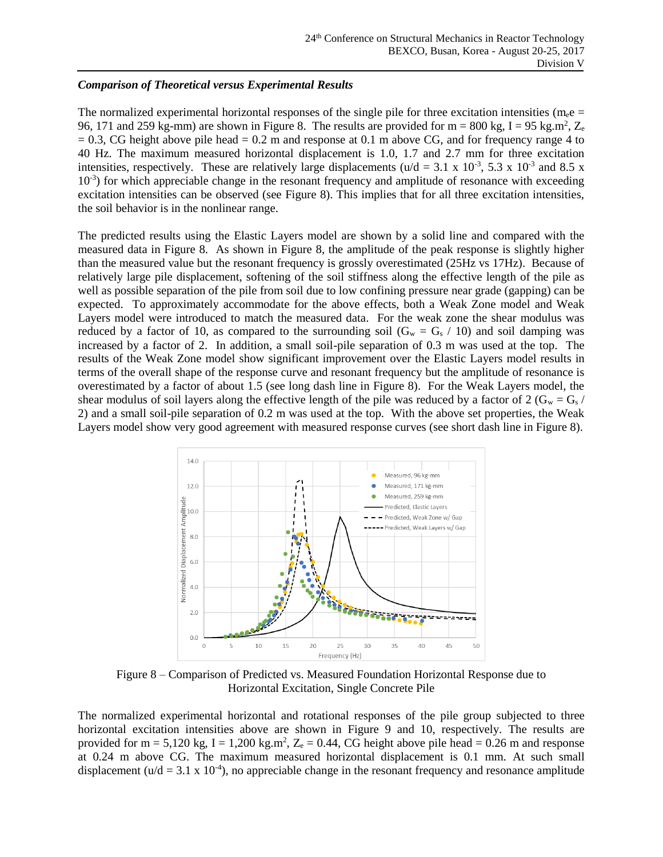# *Comparison of Theoretical versus Experimental Results*

The normalized experimental horizontal responses of the single pile for three excitation intensities (m<sub>e</sub>e = 96, 171 and 259 kg-mm) are shown in Figure 8. The results are provided for  $m = 800$  kg,  $I = 95$  kg.m<sup>2</sup>,  $Z_e$  $= 0.3$ , CG height above pile head  $= 0.2$  m and response at 0.1 m above CG, and for frequency range 4 to 40 Hz. The maximum measured horizontal displacement is 1.0, 1.7 and 2.7 mm for three excitation intensities, respectively. These are relatively large displacements ( $u/d = 3.1 \times 10^{-3}$ , 5.3 x 10<sup>-3</sup> and 8.5 x 10<sup>-3</sup>) for which appreciable change in the resonant frequency and amplitude of resonance with exceeding excitation intensities can be observed (see Figure 8). This implies that for all three excitation intensities, the soil behavior is in the nonlinear range.

The predicted results using the Elastic Layers model are shown by a solid line and compared with the measured data in Figure 8. As shown in Figure 8, the amplitude of the peak response is slightly higher than the measured value but the resonant frequency is grossly overestimated (25Hz vs 17Hz). Because of relatively large pile displacement, softening of the soil stiffness along the effective length of the pile as well as possible separation of the pile from soil due to low confining pressure near grade (gapping) can be expected. To approximately accommodate for the above effects, both a Weak Zone model and Weak Layers model were introduced to match the measured data. For the weak zone the shear modulus was reduced by a factor of 10, as compared to the surrounding soil ( $G_w = G_s / 10$ ) and soil damping was increased by a factor of 2. In addition, a small soil-pile separation of 0.3 m was used at the top. The results of the Weak Zone model show significant improvement over the Elastic Layers model results in terms of the overall shape of the response curve and resonant frequency but the amplitude of resonance is overestimated by a factor of about 1.5 (see long dash line in Figure 8). For the Weak Layers model, the shear modulus of soil layers along the effective length of the pile was reduced by a factor of 2 ( $G_w = G_s /$ 2) and a small soil-pile separation of 0.2 m was used at the top. With the above set properties, the Weak Layers model show very good agreement with measured response curves (see short dash line in Figure 8).



Figure 8 – Comparison of Predicted vs. Measured Foundation Horizontal Response due to Horizontal Excitation, Single Concrete Pile

The normalized experimental horizontal and rotational responses of the pile group subjected to three horizontal excitation intensities above are shown in Figure 9 and 10, respectively. The results are provided for m = 5,120 kg, I = 1,200 kg.m<sup>2</sup>,  $Z_e = 0.44$ , CG height above pile head = 0.26 m and response at 0.24 m above CG. The maximum measured horizontal displacement is 0.1 mm. At such small displacement ( $u/d = 3.1 \times 10^{-4}$ ), no appreciable change in the resonant frequency and resonance amplitude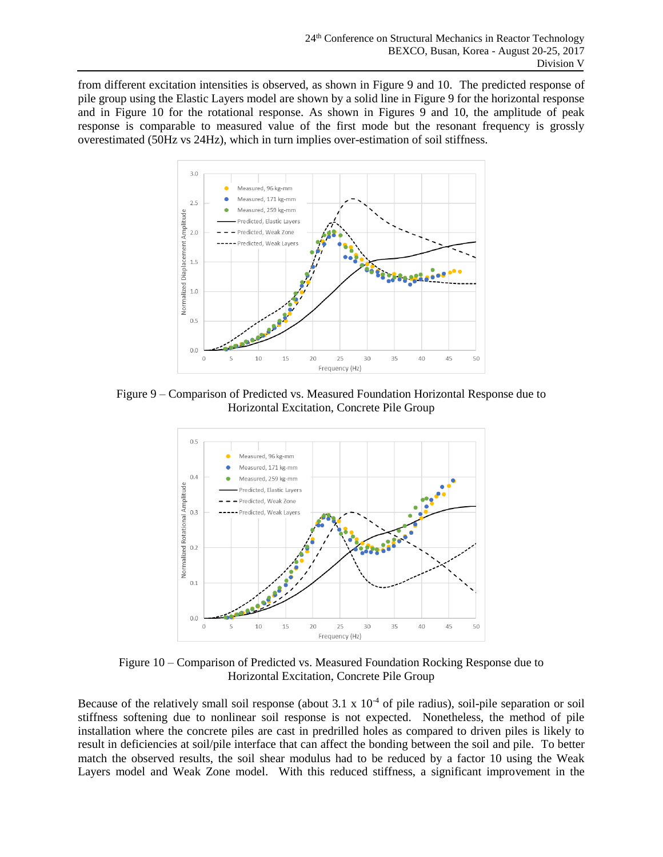from different excitation intensities is observed, as shown in Figure 9 and 10. The predicted response of pile group using the Elastic Layers model are shown by a solid line in Figure 9 for the horizontal response and in Figure 10 for the rotational response. As shown in Figures 9 and 10, the amplitude of peak response is comparable to measured value of the first mode but the resonant frequency is grossly overestimated (50Hz vs 24Hz), which in turn implies over-estimation of soil stiffness.



Figure 9 – Comparison of Predicted vs. Measured Foundation Horizontal Response due to Horizontal Excitation, Concrete Pile Group



Figure 10 – Comparison of Predicted vs. Measured Foundation Rocking Response due to Horizontal Excitation, Concrete Pile Group

Because of the relatively small soil response (about  $3.1 \times 10^{-4}$  of pile radius), soil-pile separation or soil stiffness softening due to nonlinear soil response is not expected. Nonetheless, the method of pile installation where the concrete piles are cast in predrilled holes as compared to driven piles is likely to result in deficiencies at soil/pile interface that can affect the bonding between the soil and pile. To better match the observed results, the soil shear modulus had to be reduced by a factor 10 using the Weak Layers model and Weak Zone model. With this reduced stiffness, a significant improvement in the